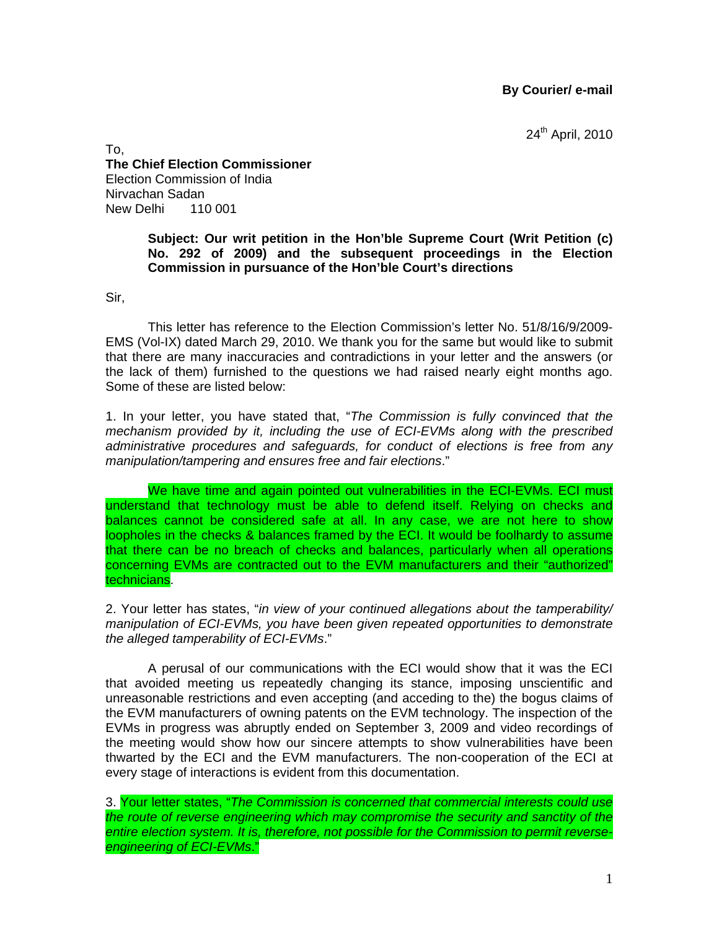**By Courier/ e-mail** 

24<sup>th</sup> April, 2010

To, **The Chief Election Commissioner**  Election Commission of India Nirvachan Sadan New Delhi 110 001

# **Subject: Our writ petition in the Hon'ble Supreme Court (Writ Petition (c) No. 292 of 2009) and the subsequent proceedings in the Election Commission in pursuance of the Hon'ble Court's directions**

Sir,

This letter has reference to the Election Commission's letter No. 51/8/16/9/2009- EMS (Vol-IX) dated March 29, 2010. We thank you for the same but would like to submit that there are many inaccuracies and contradictions in your letter and the answers (or the lack of them) furnished to the questions we had raised nearly eight months ago. Some of these are listed below:

1. In your letter, you have stated that, "*The Commission is fully convinced that the mechanism provided by it, including the use of ECI-EVMs along with the prescribed administrative procedures and safeguards, for conduct of elections is free from any manipulation/tampering and ensures free and fair elections*."

We have time and again pointed out vulnerabilities in the ECI-EVMs. ECI must understand that technology must be able to defend itself. Relying on checks and balances cannot be considered safe at all. In any case, we are not here to show loopholes in the checks & balances framed by the ECI. It would be foolhardy to assume that there can be no breach of checks and balances, particularly when all operations concerning EVMs are contracted out to the EVM manufacturers and their "authorized" technicians.

2. Your letter has states, "*in view of your continued allegations about the tamperability/ manipulation of ECI-EVMs, you have been given repeated opportunities to demonstrate the alleged tamperability of ECI-EVMs*."

A perusal of our communications with the ECI would show that it was the ECI that avoided meeting us repeatedly changing its stance, imposing unscientific and unreasonable restrictions and even accepting (and acceding to the) the bogus claims of the EVM manufacturers of owning patents on the EVM technology. The inspection of the EVMs in progress was abruptly ended on September 3, 2009 and video recordings of the meeting would show how our sincere attempts to show vulnerabilities have been thwarted by the ECI and the EVM manufacturers. The non-cooperation of the ECI at every stage of interactions is evident from this documentation.

3. Your letter states, "*The Commission is concerned that commercial interests could use the route of reverse engineering which may compromise the security and sanctity of the entire election system. It is, therefore, not possible for the Commission to permit reverseengineering of ECI-EVMs*."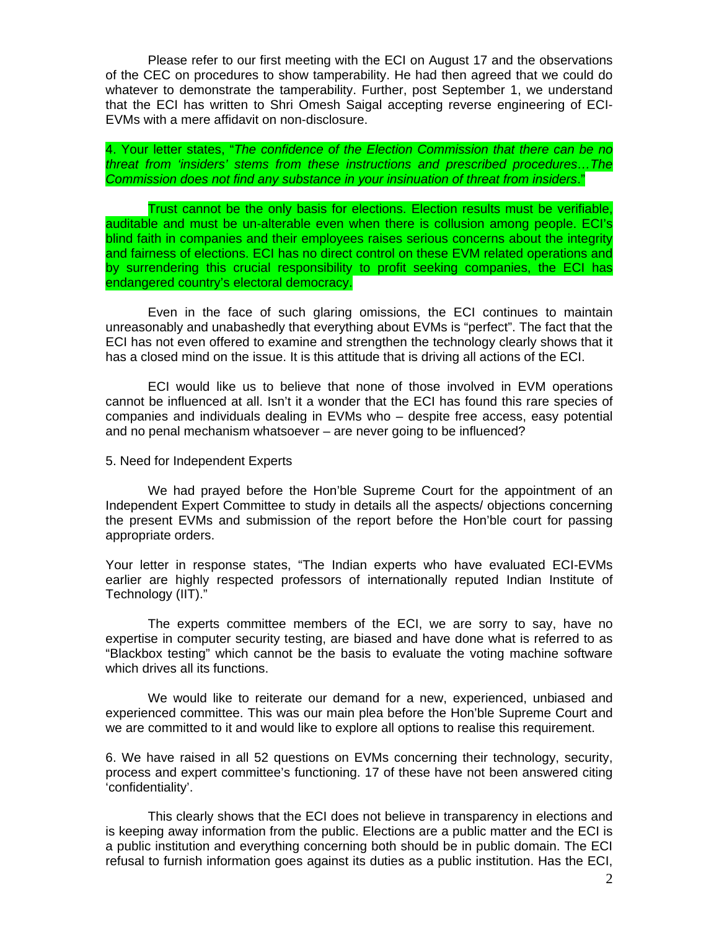Please refer to our first meeting with the ECI on August 17 and the observations of the CEC on procedures to show tamperability. He had then agreed that we could do whatever to demonstrate the tamperability. Further, post September 1, we understand that the ECI has written to Shri Omesh Saigal accepting reverse engineering of ECI-EVMs with a mere affidavit on non-disclosure.

4. Your letter states, "*The confidence of the Election Commission that there can be no threat from 'insiders' stems from these instructions and prescribed procedures…The Commission does not find any substance in your insinuation of threat from insiders*."

Trust cannot be the only basis for elections. Election results must be verifiable, auditable and must be un-alterable even when there is collusion among people. ECI's blind faith in companies and their employees raises serious concerns about the integrity and fairness of elections. ECI has no direct control on these EVM related operations and by surrendering this crucial responsibility to profit seeking companies, the ECI has endangered country's electoral democracy.

Even in the face of such glaring omissions, the ECI continues to maintain unreasonably and unabashedly that everything about EVMs is "perfect". The fact that the ECI has not even offered to examine and strengthen the technology clearly shows that it has a closed mind on the issue. It is this attitude that is driving all actions of the ECI.

ECI would like us to believe that none of those involved in EVM operations cannot be influenced at all. Isn't it a wonder that the ECI has found this rare species of companies and individuals dealing in EVMs who – despite free access, easy potential and no penal mechanism whatsoever – are never going to be influenced?

#### 5. Need for Independent Experts

We had prayed before the Hon'ble Supreme Court for the appointment of an Independent Expert Committee to study in details all the aspects/ objections concerning the present EVMs and submission of the report before the Hon'ble court for passing appropriate orders.

Your letter in response states, "The Indian experts who have evaluated ECI-EVMs earlier are highly respected professors of internationally reputed Indian Institute of Technology (IIT)."

The experts committee members of the ECI, we are sorry to say, have no expertise in computer security testing, are biased and have done what is referred to as "Blackbox testing" which cannot be the basis to evaluate the voting machine software which drives all its functions.

We would like to reiterate our demand for a new, experienced, unbiased and experienced committee. This was our main plea before the Hon'ble Supreme Court and we are committed to it and would like to explore all options to realise this requirement.

6. We have raised in all 52 questions on EVMs concerning their technology, security, process and expert committee's functioning. 17 of these have not been answered citing 'confidentiality'.

This clearly shows that the ECI does not believe in transparency in elections and is keeping away information from the public. Elections are a public matter and the ECI is a public institution and everything concerning both should be in public domain. The ECI refusal to furnish information goes against its duties as a public institution. Has the ECI,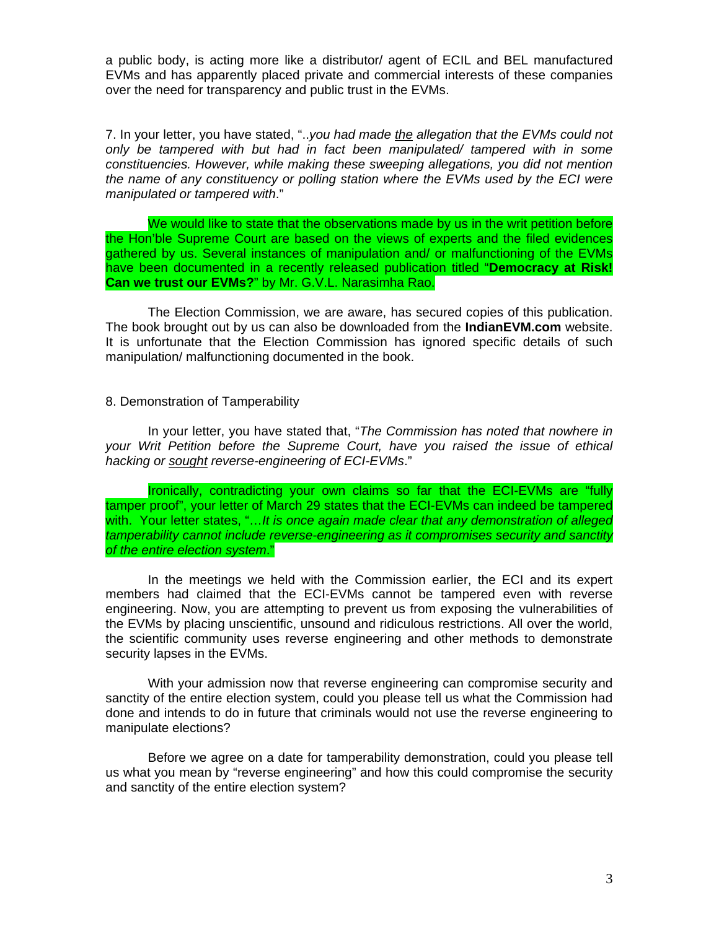a public body, is acting more like a distributor/ agent of ECIL and BEL manufactured EVMs and has apparently placed private and commercial interests of these companies over the need for transparency and public trust in the EVMs.

7. In your letter, you have stated, "..*you had made the allegation that the EVMs could not only be tampered with but had in fact been manipulated/ tampered with in some constituencies. However, while making these sweeping allegations, you did not mention the name of any constituency or polling station where the EVMs used by the ECI were manipulated or tampered with*."

We would like to state that the observations made by us in the writ petition before the Hon'ble Supreme Court are based on the views of experts and the filed evidences gathered by us. Several instances of manipulation and/ or malfunctioning of the EVMs have been documented in a recently released publication titled "**Democracy at Risk! Can we trust our EVMs?**" by Mr. G.V.L. Narasimha Rao.

The Election Commission, we are aware, has secured copies of this publication. The book brought out by us can also be downloaded from the **IndianEVM.com** website. It is unfortunate that the Election Commission has ignored specific details of such manipulation/ malfunctioning documented in the book.

### 8. Demonstration of Tamperability

In your letter, you have stated that, "*The Commission has noted that nowhere in your Writ Petition before the Supreme Court, have you raised the issue of ethical hacking or sought reverse-engineering of ECI-EVMs*."

Ironically, contradicting your own claims so far that the ECI-EVMs are "fully tamper proof", your letter of March 29 states that the ECI-EVMs can indeed be tampered with. Your letter states, "…*It is once again made clear that any demonstration of alleged tamperability cannot include reverse-engineering as it compromises security and sanctity of the entire election system*."

In the meetings we held with the Commission earlier, the ECI and its expert members had claimed that the ECI-EVMs cannot be tampered even with reverse engineering. Now, you are attempting to prevent us from exposing the vulnerabilities of the EVMs by placing unscientific, unsound and ridiculous restrictions. All over the world, the scientific community uses reverse engineering and other methods to demonstrate security lapses in the EVMs.

With your admission now that reverse engineering can compromise security and sanctity of the entire election system, could you please tell us what the Commission had done and intends to do in future that criminals would not use the reverse engineering to manipulate elections?

Before we agree on a date for tamperability demonstration, could you please tell us what you mean by "reverse engineering" and how this could compromise the security and sanctity of the entire election system?